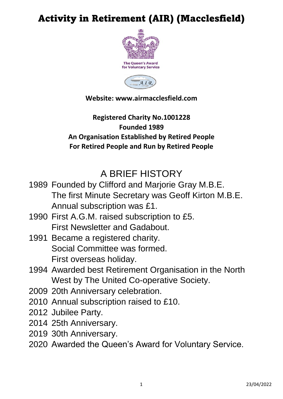# Activity in Retirement (AIR) (Macclesfield)



## **Website: www.airmacclesfield.com**

## **Registered Charity No.1001228 Founded 1989 An Organisation Established by Retired People For Retired People and Run by Retired People**

# A BRIEF HISTORY

- 1989 Founded by Clifford and Marjorie Gray M.B.E. The first Minute Secretary was Geoff Kirton M.B.E. Annual subscription was £1.
- 1990 First A.G.M. raised subscription to £5. First Newsletter and Gadabout.
- 1991 Became a registered charity. Social Committee was formed. First overseas holiday.
- 1994 Awarded best Retirement Organisation in the North West by The United Co-operative Society.
- 2009 20th Anniversary celebration.
- 2010 Annual subscription raised to £10.
- 2012 Jubilee Party.
- 2014 25th Anniversary.
- 2019 30th Anniversary.
- 2020 Awarded the Queen's Award for Voluntary Service.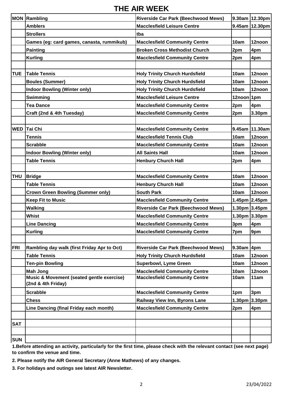#### **THE AIR WEEK**

|            | <b>MON Rambling</b>                                             | <b>Riverside Car Park (Beechwood Mews)</b> |               | 9.30am 12.30pm    |
|------------|-----------------------------------------------------------------|--------------------------------------------|---------------|-------------------|
|            | <b>Amblers</b>                                                  | <b>Macclesfield Leisure Centre</b>         |               | 9.45am 12.30pm    |
|            | <b>Strollers</b>                                                | tba                                        |               |                   |
|            | Games (eg: card games, canasta, rummikub)                       | <b>Macclesfield Community Centre</b>       | 10am          | 12noon            |
|            | <b>Painting</b>                                                 | <b>Broken Cross Methodist Church</b>       |               |                   |
|            |                                                                 |                                            | 2pm           | 4pm               |
|            | <b>Kurling</b>                                                  | <b>Macclesfield Community Centre</b>       | 2pm           | 4pm               |
| <b>TUE</b> | <b>Table Tennis</b>                                             | <b>Holy Trinity Church Hurdsfield</b>      | 10am          | 12noon            |
|            | <b>Boules (Summer)</b>                                          | <b>Holy Trinity Church Hurdsfield</b>      | 10am          | 12noon            |
|            | <b>Indoor Bowling (Winter only)</b>                             | <b>Holy Trinity Church Hurdsfield</b>      | 10am          | 12noon            |
|            | Swimming                                                        | <b>Macclesfield Leisure Centre</b>         | 12noon 1pm    |                   |
|            | <b>Tea Dance</b>                                                | <b>Macclesfield Community Centre</b>       |               | 4pm               |
|            | Craft (2nd & 4th Tuesday)                                       | <b>Macclesfield Community Centre</b>       | 2pm<br>2pm    | 3.30pm            |
|            |                                                                 |                                            |               |                   |
| <b>WED</b> | Tai Chi                                                         | <b>Macclesfield Community Centre</b>       |               | 9.45am 11.30am    |
|            | <b>Tennis</b>                                                   | <b>Macclesfield Tennis Club</b>            | 10am          | 12noon            |
|            | <b>Scrabble</b>                                                 | <b>Macclesfield Community Centre</b>       | 10am          | 12noon            |
|            | <b>Indoor Bowling (Winter only)</b>                             | <b>All Saints Hall</b>                     | 10am          | 12noon            |
|            | <b>Table Tennis</b>                                             | <b>Henbury Church Hall</b>                 | 2pm           | 4pm               |
|            |                                                                 |                                            |               |                   |
| <b>THU</b> | <b>Bridge</b>                                                   | <b>Macclesfield Community Centre</b>       | 10am          | 12noon            |
|            | <b>Table Tennis</b>                                             | <b>Henbury Church Hall</b>                 | 10am          | 12noon            |
|            | <b>Crown Green Bowling (Summer only)</b>                        | <b>South Park</b>                          | 10am          | 12noon            |
|            | <b>Keep Fit to Music</b>                                        | <b>Macclesfield Community Centre</b>       |               | 1.45pm 2.45pm     |
|            | <b>Walking</b>                                                  | <b>Riverside Car Park (Beechwood Mews)</b> |               | 1.30pm 3.45pm     |
|            | <b>Whist</b>                                                    | <b>Macclesfield Community Centre</b>       |               | 1.30pm $3.30pm$   |
|            | <b>Line Dancing</b>                                             | <b>Macclesfield Community Centre</b>       | 3pm           | 4pm               |
|            | <b>Kurling</b>                                                  | <b>Macclesfield Community Centre</b>       | 7pm           | 9pm               |
|            |                                                                 |                                            |               |                   |
| <b>FRI</b> | Rambling day walk (first Friday Apr to Oct)                     | <b>Riverside Car Park (Beechwood Mews)</b> | $9.30$ am 4pm |                   |
|            | <b>Table Tennis</b>                                             | <b>Holy Trinity Church Hurdsfield</b>      | 10am          | 12noon            |
|            | <b>Ten-pin Bowling</b>                                          | <b>Superbowl, Lyme Green</b>               | 10am          | 12noon            |
|            | <b>Mah Jong</b>                                                 | <b>Macclesfield Community Centre</b>       | 10am          | 12noon            |
|            | Music & Movement (seated gentle exercise)<br>(2nd & 4th Friday) | <b>Macclesfield Community Centre</b>       | 10am          | 11am              |
|            | <b>Scrabble</b>                                                 | <b>Macclesfield Community Centre</b>       | 1pm           | 3pm               |
|            | <b>Chess</b>                                                    | <b>Railway View Inn, Byrons Lane</b>       |               | 1.30pm $ 3.30$ pm |
|            | Line Dancing (final Friday each month)                          | <b>Macclesfield Community Centre</b>       | 2pm           | 4pm               |
|            |                                                                 |                                            |               |                   |
| <b>SAT</b> |                                                                 |                                            |               |                   |
|            |                                                                 |                                            |               |                   |
| <b>SUN</b> |                                                                 |                                            |               |                   |

**1.Before attending an activity, particularly for the first time, please check with the relevant contact (see next page) to confirm the venue and time.**

**2. Please notify the AIR General Secretary (Anne Mathews) of any changes.**

**3. For holidays and outings see latest AIR Newsletter.**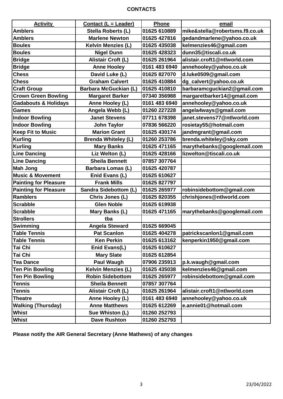#### **CONTACTS**

| <b>Activity</b>                 | <b>Contact (L = Leader)</b>  | Phone         | email                          |
|---------------------------------|------------------------------|---------------|--------------------------------|
| <b>Amblers</b>                  | Stella Roberts (L)           | 01625 610889  | mike&stella@robertsms.f9.co.uk |
| <b>Amblers</b>                  | <b>Marlene Newton</b>        | 01625 427816  | gedandmarlene@yahoo.co.uk      |
| <b>Boules</b>                   | <b>Kelvin Menzies (L)</b>    | 01625 435038  | kelmenzies46@gmail.com         |
| <b>Boules</b>                   | <b>Nigel Dunn</b>            | 01625 428323  | dunn35@tiscali.co.uk           |
| <b>Bridge</b>                   | Alistair Croft (L)           | 01625 261964  | alistair.croft1@ntlworld.com   |
| <b>Bridge</b>                   | <b>Anne Hooley</b>           | 0161 483 6940 | annehooley@yahoo.co.uk         |
| <b>Chess</b>                    | David Luke (L)               | 01625 827070  | d.luke0509@gmail.com           |
| <b>Chess</b>                    | <b>Graham Calvert</b>        | 01625 410884  | dg_calvert@yahoo.co.uk         |
| <b>Craft Group</b>              | <b>Barbara McGuckian (L)</b> | 01625 410810  | barbaramcguckian2@gmail.com    |
| <b>Crown Green Bowling</b>      | <b>Margaret Barker</b>       | 07340 356988  | margaretbarker14@gmail.com     |
| <b>Gadabouts &amp; Holidays</b> | Anne Hooley (L)              | 0161 483 6940 | annehooley@yahoo.co.uk         |
| <b>Games</b>                    | Angela Webb (L)              | 01260 227228  | angela4ways@gmail.com          |
| <b>Indoor Bowling</b>           | <b>Janet Stevens</b>         | 07711 678398  | janet.stevens77@ntlworld.com   |
| <b>Indoor Bowling</b>           | <b>John Taylor</b>           | 07836 566220  | rosietay55@hotmail.com         |
| <b>Keep Fit to Music</b>        | <b>Marion Grant</b>          | 01625 430174  | jandmgrant@gmail.com           |
| <b>Kurling</b>                  | <b>Brenda Whiteley (L)</b>   | 01260 253786  | brenda.whiteley@sky.com        |
| <b>Kurling</b>                  | <b>Mary Banks</b>            | 01625 471165  | marythebanks@googlemail.com    |
| <b>Line Dancing</b>             | Liz Welton (L)               | 01625 428166  | lizwelton@tiscali.co.uk        |
| <b>Line Dancing</b>             | <b>Sheila Bennett</b>        | 07857 307764  |                                |
| <b>Mah Jong</b>                 | <b>Barbara Lomas (L)</b>     | 01625 420787  |                                |
| <b>Music &amp; Movement</b>     | Enid Evans (L)               | 01625 610627  |                                |
| <b>Painting for Pleasure</b>    | <b>Frank Mills</b>           | 01625 827797  |                                |
| <b>Painting for Pleasure</b>    | <b>Sandra Sidebottom (L)</b> | 01625 265977  | robinsidebottom@gmail.com      |
| <b>Ramblers</b>                 | Chris Jones (L)              | 01625 820355  | chrishjones@ntlworld.com       |
| <b>Scrabble</b>                 | <b>Glen Noble</b>            | 01625 619938  |                                |
| <b>Scrabble</b>                 | Mary Banks (L)               | 01625 471165  | marythebanks@googlemail.com    |
| <b>Strollers</b>                | tba                          |               |                                |
| Swimming                        | <b>Angela Steward</b>        | 01625 669045  |                                |
| <b>Table Tennis</b>             | <b>Pat Scanlon</b>           | 01625 404278  | patrickscanlon1@gmail.com      |
| <b>Table Tennis</b>             | <b>Ken Perkin</b>            | 01625 613162  | kenperkin1950@gmail.com        |
| Tai Chi                         | Enid Evans(L)                | 01625 610627  |                                |
| Tai Chi                         | <b>Mary Slate</b>            | 01625 612854  |                                |
| <b>Tea Dance</b>                | Paul Waugh                   | 07906 235913  | p.k.waugh@gmail.com            |
| <b>Ten Pin Bowling</b>          | <b>Kelvin Menzies (L)</b>    | 01625 435038  | kelmenzies46@gmail.com         |
| <b>Ten Pin Bowling</b>          | <b>Robin Sidebottom</b>      | 01625 265977  | robinsidebottom@gmail.com      |
| <b>Tennis</b>                   | <b>Sheila Bennett</b>        | 07857 307764  |                                |
| <b>Tennis</b>                   | Alistair Croft (L)           | 01625 261964  | alistair.croft1@ntlworld.com   |
| <b>Theatre</b>                  | Anne Hooley (L)              | 0161 483 6940 | annehooley@yahoo.co.uk         |
| <b>Walking (Thursday)</b>       | <b>Anne Matthews</b>         | 01625 612269  | e.annie01@hotmail.com          |
| <b>Whist</b>                    | Sue Whiston (L)              | 01260 252793  |                                |
| Whist                           | <b>Dave Rushton</b>          | 01260 252793  |                                |

**Please notify the AIR General Secretary (Anne Mathews) of any changes**